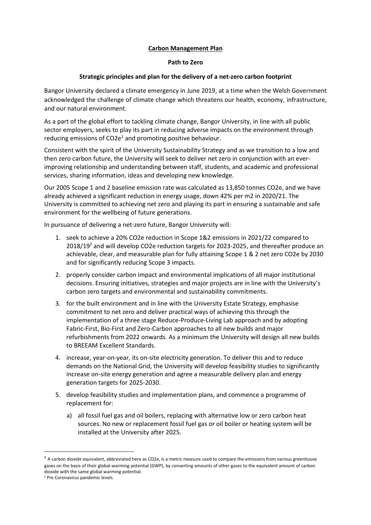## **Carbon Management Plan**

## **Path to Zero**

## **Strategic principles and plan for the delivery of a net-zero carbon footprint**

Bangor University declared a climate emergency in June 2019, at a time when the Welsh Government acknowledged the challenge of climate change which threatens our health, economy, infrastructure, and our natural environment.

As a part of the global effort to tackling climate change, Bangor University, in line with all public sector employers, seeks to play its part in reducing adverse impacts on the environment through reducing emissions of  $CO2e<sup>1</sup>$  and promoting positive behaviour.

Consistent with the spirit of the University Sustainability Strategy and as we transition to a low and then zero carbon future, the University will seek to deliver net zero in conjunction with an everimproving relationship and understanding between staff, students, and academic and professional services, sharing information, ideas and developing new knowledge.

Our 2005 Scope 1 and 2 baseline emission rate was calculated as 13,850 tonnes CO2e, and we have already achieved a significant reduction in energy usage, down 42% per m2 in 2020/21. The University is committed to achieving net zero and playing its part in ensuring a sustainable and safe environment for the wellbeing of future generations.

In pursuance of delivering a net-zero future, Bangor University will:

- 1. seek to achieve a 20% CO2e reduction in Scope 1&2 emissions in 2021/22 compared to 2018/19<sup>2</sup> and will develop CO2e reduction targets for 2023-2025, and thereafter produce an achievable, clear, and measurable plan for fully attaining Scope 1 & 2 net zero CO2e by 2030 and for significantly reducing Scope 3 impacts.
- 2. properly consider carbon impact and environmental implications of all major institutional decisions. Ensuring initiatives, strategies and major projects are in line with the University's carbon zero targets and environmental and sustainability commitments.
- 3. for the built environment and in line with the University Estate Strategy, emphasise commitment to net zero and deliver practical ways of achieving this through the implementation of a three stage Reduce-Produce-Living Lab approach and by adopting Fabric-First, Bio-First and Zero-Carbon approaches to all new builds and major refurbishments from 2022 onwards. As a minimum the University will design all new builds to BREEAM Excellent Standards.
- 4. increase, year-on-year, its on-site electricity generation. To deliver this and to reduce demands on the National Grid, the University will develop feasibility studies to significantly increase on-site energy generation and agree a measurable delivery plan and energy generation targets for 2025-2030.
- 5. develop feasibility studies and implementation plans, and commence a programme of replacement for:
	- a) all fossil fuel gas and oil boilers, replacing with alternative low or zero carbon heat sources. No new or replacement fossil fuel gas or oil boiler or heating system will be installed at the University after 2025.

 $1$  A carbon dioxide equivalent, abbreviated here as CO2e, is a metric measure used to compare the emissions from various greenhouse gases on the basis of their global-warming potential (GWP), by converting amounts of other gases to the equivalent amount of carbon dioxide with the same global warming potential.

<sup>2</sup> Pre Coronavirus pandemic levels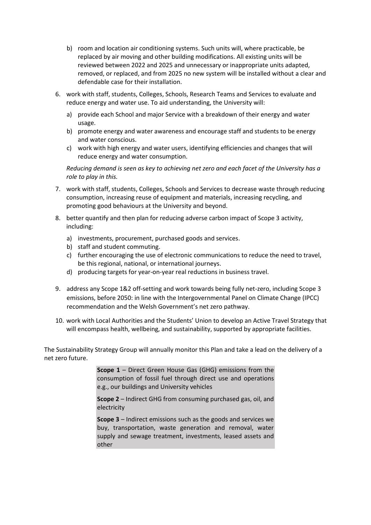- b) room and location air conditioning systems. Such units will, where practicable, be replaced by air moving and other building modifications. All existing units will be reviewed between 2022 and 2025 and unnecessary or inappropriate units adapted, removed, or replaced, and from 2025 no new system will be installed without a clear and defendable case for their installation.
- 6. work with staff, students, Colleges, Schools, Research Teams and Services to evaluate and reduce energy and water use. To aid understanding, the University will:
	- a) provide each School and major Service with a breakdown of their energy and water usage.
	- b) promote energy and water awareness and encourage staff and students to be energy and water conscious.
	- c) work with high energy and water users, identifying efficiencies and changes that will reduce energy and water consumption.

*Reducing demand is seen as key to achieving net zero and each facet of the University has a role to play in this.*

- 7. work with staff, students, Colleges, Schools and Services to decrease waste through reducing consumption, increasing reuse of equipment and materials, increasing recycling, and promoting good behaviours at the University and beyond.
- 8. better quantify and then plan for reducing adverse carbon impact of Scope 3 activity, including:
	- a) investments, procurement, purchased goods and services.
	- b) staff and student commuting.
	- c) further encouraging the use of electronic communications to reduce the need to travel, be this regional, national, or international journeys.
	- d) producing targets for year-on-year real reductions in business travel.
- 9. address any Scope 1&2 off-setting and work towards being fully net-zero, including Scope 3 emissions, before 2050: in line with the Intergovernmental Panel on Climate Change (IPCC) recommendation and the Welsh Government's net zero pathway.
- 10. work with Local Authorities and the Students' Union to develop an Active Travel Strategy that will encompass health, wellbeing, and sustainability, supported by appropriate facilities.

The Sustainability Strategy Group will annually monitor this Plan and take a lead on the delivery of a net zero future.

> **Scope 1** – Direct Green House Gas (GHG) emissions from the consumption of fossil fuel through direct use and operations e.g., our buildings and University vehicles

> **Scope 2** – Indirect GHG from consuming purchased gas, oil, and electricity

> **Scope 3** – Indirect emissions such as the goods and services we buy, transportation, waste generation and removal, water supply and sewage treatment, investments, leased assets and other